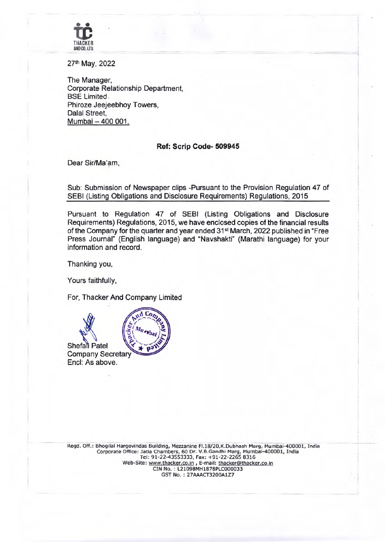

27th May, 2022

The Manager, Corporate Relationship Department, BSE Limited. Phiroze Jeejeebhoy Towers, Dalal Street, Mumbai - 400 001.

## **Ref: Scrip Code- 509945**

Dear Sir/Ma'am,

Sub: Submission of Newspaper clips -Pursuant to the Provision Regulation 47 of SEBI (Listing Obligations and Disclosure Requirements) Regulations, 2015

Pursuant to Regulation 47 of SEBI (Listing Obligations and Disclosure Requirements) Regulations, 2015, we have enclosed copies of the financial results of the Company for the quarter and year ended 31st March, 2022 published in "Free Press Journal" (English language) and "Nayshakti" (Marathi language) for your information and record.

Thanking you,

Yours faithfully,

For, Thacker And Company Limited

d Con Shefali Patel Company Secretary End: As above.

Regd. Off.: Bhogilal Hargovindas Building, Mezzanine Fl.18/20,K.Dubhash Marg, Mumbai-400001, **India**  Corporate Office: Jatia Chambers, 60 Dr. V.B.Candhi Marg, Mumbai-400001, India Tel: 91-22-43553333, Fax: +91-22-2265 8316 Web-Site: www.thacker.co.in, E-mail: thacker@thacker.co.in CIN No. L21098MH1878PLC000033 GST No.: 27AAACT3200A1Z7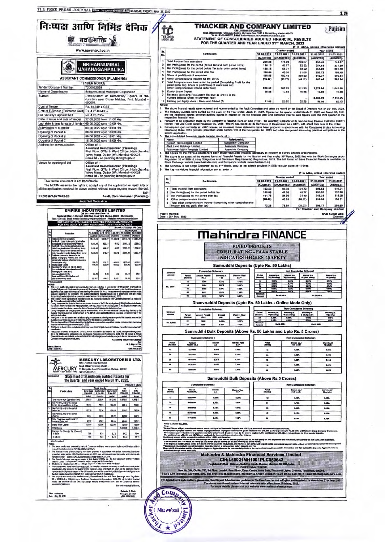|                                                                                                                                                                                                                         | निःष्पक्ष आणि निर्मिड दैनिक $ \not\!\!\!\!/\,$<br>नव@शक्ति                                                                                                                                                                                                                                                                                                                                                                                                                                                                                                                                                                                                            |      |                                                | ŤĈ<br>THACKER<br><b>MOCO 178</b>                        |                                                                                                                                                                                                           |                             |                            |                                                   |                                                                                                      | <b>THACKER AND COMPANY LIMITED</b><br>Die Lindebart Englischer Einer (2000)<br>Regel, Office: ENglish Hargevindas Budding, Maczanine Floor, 1920, K. Dubash Marg, Mumber - 409001<br>1941: Tel. No.: 91-22-43553333; E-Mali: Thatker@thacker.co.in: Website: www.thacker.c<br>STATEMENT OF CONSOLIDATED AUDITED FINANCIAL RESULTS<br>FOR THE QUARTER AND YEAR ENDED 31ST MARCH, 2022                                                                                |                                                          |                                                                   |                                                        | <b>Fujisan</b>                         |
|-------------------------------------------------------------------------------------------------------------------------------------------------------------------------------------------------------------------------|-----------------------------------------------------------------------------------------------------------------------------------------------------------------------------------------------------------------------------------------------------------------------------------------------------------------------------------------------------------------------------------------------------------------------------------------------------------------------------------------------------------------------------------------------------------------------------------------------------------------------------------------------------------------------|------|------------------------------------------------|---------------------------------------------------------|-----------------------------------------------------------------------------------------------------------------------------------------------------------------------------------------------------------|-----------------------------|----------------------------|---------------------------------------------------|------------------------------------------------------------------------------------------------------|---------------------------------------------------------------------------------------------------------------------------------------------------------------------------------------------------------------------------------------------------------------------------------------------------------------------------------------------------------------------------------------------------------------------------------------------------------------------|----------------------------------------------------------|-------------------------------------------------------------------|--------------------------------------------------------|----------------------------------------|
|                                                                                                                                                                                                                         | www.navshakti.co.in                                                                                                                                                                                                                                                                                                                                                                                                                                                                                                                                                                                                                                                   |      | Sr.                                            |                                                         |                                                                                                                                                                                                           |                             | Particulars                |                                                   |                                                                                                      | 31.03.2022                                                                                                                                                                                                                                                                                                                                                                                                                                                          | Quarter ended                                            | 31.12.2021 31.03.2021                                             | (₹ in lakhs, unless otherwise stated)                  | <b>Year ended</b>                      |
|                                                                                                                                                                                                                         | <b>BRIHANMUMBAI</b>                                                                                                                                                                                                                                                                                                                                                                                                                                                                                                                                                                                                                                                   |      | No.<br>1<br>$\overline{2}$                     |                                                         | Total Income from operations<br>Net Profit/(Loss) for the period (before tax and prior period items)                                                                                                      |                             |                            |                                                   |                                                                                                      | <b>(AUDITED)</b><br>299.66<br>128.15                                                                                                                                                                                                                                                                                                                                                                                                                                | 174.98<br>58.77                                          | (UNAUDITED) (AUDITED)<br>249.07<br>82.92                          | 31.03.2022 31.03.2021<br>(AUDITED)<br>855.46<br>354.83 | (AUDITED)<br>744,87<br>221.58          |
|                                                                                                                                                                                                                         | <b>MAHANAGARPALIKA</b><br><b>ASSISTANT COMMISSIONER (PLANNING)</b>                                                                                                                                                                                                                                                                                                                                                                                                                                                                                                                                                                                                    |      | $\mathbf{3}$<br>$\ddot{\phantom{1}}$<br>в<br>6 |                                                         | Net Profit/(Loss) for the period before Tax (after prior period items)<br>Net Profit/(Loss) for the period after Tax<br>Share of profit/(loss) of associates<br>Other comprehensive income for the period |                             |                            |                                                   |                                                                                                      | 128.15<br>116.04<br>119.65                                                                                                                                                                                                                                                                                                                                                                                                                                          | 56.77<br>46.00<br>180.48                                 | 82.92<br>61.69<br>289.33                                          | 354.83<br>292.73<br>643.77                             | 221.55<br>169.40<br>506.54             |
| <b>Tender Document Number</b>                                                                                                                                                                                           | <b>TENDER NOTICE</b><br>7200032058                                                                                                                                                                                                                                                                                                                                                                                                                                                                                                                                                                                                                                    |      |                                                |                                                         | period (after tax), Share of profit/(loss) of associates and<br>Other Comprehensive Income (after tax))                                                                                                   |                             |                            |                                                   | Total Comprehensive Income for the period [Comprising Profit for the                                 | (15.17)<br>220.52                                                                                                                                                                                                                                                                                                                                                                                                                                                   | (19.25)<br>207.23                                        | (49.82)<br>301.20                                                 | 443.44<br>1,379.94                                     | 366.94<br>1,042.88                     |
| Name of Organization<br>Subject                                                                                                                                                                                         | Brihanmumbai Municipal Corporation<br>Development of Democracy Square at the<br>Junction near Cross Maidan, Fort, Mumbai                                                                                                                                                                                                                                                                                                                                                                                                                                                                                                                                              |      | 10                                             |                                                         | <b>Equity Share Capital</b><br>Reserves (excluding Revaluation Reserve as shown in the<br>Audited Balance Sheet of previous year)                                                                         |                             |                            |                                                   |                                                                                                      | 10.88                                                                                                                                                                                                                                                                                                                                                                                                                                                               | 10.88                                                    | 10.68                                                             | 10,88<br>8,490.39                                      | 10.88<br>7.110.45                      |
| Cost of Tender<br>Cost of E-Tender (Estimated Cost) Rs. 4,25,68,400/-                                                                                                                                                   | 400001<br>Rs. 10.340 + GST                                                                                                                                                                                                                                                                                                                                                                                                                                                                                                                                                                                                                                            |      | Notes:<br>2.                                   |                                                         | Earning per Equity share : Basic and Diluted (₹)                                                                                                                                                          |                             |                            |                                                   |                                                                                                      | 21.68<br>1. The above financial results were reviewed and recommended by the Audit Committee and taken on record by the Board of Directors held on 25" May, 2022.<br>The Statutory auditors have carried out the audit for the year ended March 31, 2022. Figures for the quarter ended March 31, 2022 and March 31, 2021                                                                                                                                           | 20.82                                                    | 32.26                                                             | 86.08                                                  | 62.13                                  |
| <b>Bid Security Deposit/EMD</b><br>Date of issue and sale of tender                                                                                                                                                     | Rs. 4.25,700/-<br>27,05,2022 from 11:00 Hrs.                                                                                                                                                                                                                                                                                                                                                                                                                                                                                                                                                                                                                          |      | 3                                              |                                                         | respective financial year.                                                                                                                                                                                |                             |                            |                                                   |                                                                                                      | are the balancing figures between audited figures in respect of the full financial year and published year to date figures upto the third quarter of the<br>Pursuant to an application made by the Company to Reserve Bank of India ('RBI'), for voluntary surrender of its Non-Banking Finance Institution ('NBFI')                                                                                                                                                |                                                          |                                                                   |                                                        |                                        |
| Last date & time for sale of tender 09.06.2022 upto 13:00 Hrs.<br>Submission of e-tender<br>Opening of Packet A                                                                                                         | 09.06.2022 upto 14:00 Hrs.<br>09.06.2022 upto 16:00 Hrs.                                                                                                                                                                                                                                                                                                                                                                                                                                                                                                                                                                                                              |      |                                                | extent applicable                                       |                                                                                                                                                                                                           |                             |                            |                                                   |                                                                                                      | license, RBI vide Order dated November 30, 2018 ('Order') has cancelled its Certificate of Registration as a NBFI, with effect from date of the Order.<br>Consequent upon surrender of NBFC license, as aforesaid, these statements have been prepared in accordance with the Companies (Indian Accounting<br>Standards) Rules. 2015 (Ind AS) prescribed under Section 133 of the Companies Act, 2013 and other recognised accounting practices and policies to the |                                                          |                                                                   |                                                        |                                        |
| Opening of Packet B<br>Opening of Packet C                                                                                                                                                                              | 09.06.2022 upto 16:01 Hrs.<br>15.06.2022 upto 15:00 Hrs.                                                                                                                                                                                                                                                                                                                                                                                                                                                                                                                                                                                                              |      | 5.                                             | Name                                                    | The consolidated financials results include results of :-<br>Fujisan Technologies Limited                                                                                                                 |                             |                            |                                                   | Relationship<br><b>Subsidiary Company</b>                                                            |                                                                                                                                                                                                                                                                                                                                                                                                                                                                     |                                                          |                                                                   |                                                        |                                        |
| Address for communication                                                                                                                                                                                               | Office of :-<br>Assistant Commissioner (Planning),<br>First Floor, G/North Ward Officer, Harischandra<br>Yelwe Marg, Dadar (W), Mumbai-400028.                                                                                                                                                                                                                                                                                                                                                                                                                                                                                                                        |      |                                                |                                                         | AMJ Land Holdings Limited<br><b>Pudumjee Paper Products Limited</b>                                                                                                                                       |                             |                            |                                                   | <b>Associate Company</b><br>Associate Company                                                        | The figures for the previous period have been recast/regrouped wherever necessary to conform to current period's presentations.                                                                                                                                                                                                                                                                                                                                     |                                                          |                                                                   |                                                        |                                        |
| Venue for opening of bid                                                                                                                                                                                                | Email Id - ac.planning@mcgm.gov.in<br>Office of :-                                                                                                                                                                                                                                                                                                                                                                                                                                                                                                                                                                                                                    |      | 7.                                             |                                                         |                                                                                                                                                                                                           |                             |                            |                                                   |                                                                                                      | The above is an extract of the detailed format of Financial Results for the Quarter and Year ended 31" March, 2022 filed with the Stock Exchanges under<br>Regulation 33 of SEBI (Listing Obligations And Disclosure Requirements) Regulations, 2015. The full format of these Financial Results is available on<br>ck Exchange website (www.bseindia.com) and Company's website (www.thacker.co.in)                                                                |                                                          |                                                                   |                                                        |                                        |
|                                                                                                                                                                                                                         | <b>Assistant Commissioner (Planning),</b><br>First Floor, G/North Ward Officer, Harischandra<br>Yelwe Marg, Dadar (W), Mumbai-400028.                                                                                                                                                                                                                                                                                                                                                                                                                                                                                                                                 |      |                                                |                                                         | The key standalone financial information are as under :-                                                                                                                                                  |                             |                            |                                                   |                                                                                                      | The Company is not 'Large Corporate' as on 31" March, 2022 as per criteria provided in SEBI circular dated 26-11-2018.                                                                                                                                                                                                                                                                                                                                              |                                                          |                                                                   | (C in lakhs, unless otherwise stated)                  |                                        |
| This tender document is not transferable.                                                                                                                                                                               | Email Id - ac.planning@mcgm.gov.in<br>The MCGM reserves the rights to accept any of the application or reject any or                                                                                                                                                                                                                                                                                                                                                                                                                                                                                                                                                  |      |                                                | Sr.<br>No.                                              |                                                                                                                                                                                                           |                             | <b>Particulars</b>         |                                                   |                                                                                                      | 31.03.2022<br>(AUDITED)                                                                                                                                                                                                                                                                                                                                                                                                                                             | Quarter ended<br>(UNAUDITED)                             | 31.12.2021 31.03.2021<br>(AUDITED)                                | 31.03.2022<br>(AUDITED)                                | Year ended<br>31.03.2021<br>(AUDITED)  |
| PRO/388/ADV/2022-23                                                                                                                                                                                                     | all the application received for above subject without assigning any reason thereof<br>Asstt, Commissioner (Planning)                                                                                                                                                                                                                                                                                                                                                                                                                                                                                                                                                 | Sd/- |                                                | 1<br>$\overline{\mathbf{z}}$<br>$\overline{\mathbf{3}}$ | <b>Total Income from operations</b><br>Net Profit/(Loss) for the period before tax<br>Net Profit/(Loss) for the period after tax                                                                          |                             |                            |                                                   |                                                                                                      | 162,50<br>109.06<br>101.76                                                                                                                                                                                                                                                                                                                                                                                                                                          | 96.02<br>42.05<br>34.99                                  | 104.73<br>45.77<br>34.49                                          | 506.53<br>291.93<br>245.21                             | 419.01<br>152.20<br>118.08             |
|                                                                                                                                                                                                                         | <b>Avoid Self Medication</b>                                                                                                                                                                                                                                                                                                                                                                                                                                                                                                                                                                                                                                          |      |                                                | $\blacktriangleleft$<br>5                               | Other comprehensive income                                                                                                                                                                                |                             |                            |                                                   | Total other comprehensive income (comprising other comprehensive<br>income and net profit after tax) | (28.48)<br>73.26                                                                                                                                                                                                                                                                                                                                                                                                                                                    | 43.85<br>78.84                                           | (66.52)<br>(31.03)                                                | 150.96<br>395.17                                       | 138.61<br>256.69                       |
|                                                                                                                                                                                                                         | <b>EMPIRE INDUSTRIES LIMITED</b><br>CM: L17120MH1980PLC090176<br>Registered Office: 414 Senapati Bapat Marg. Lower Parel, Murribal 400013   Plc 66565453                                                                                                                                                                                                                                                                                                                                                                                                                                                                                                              |      |                                                | Place: Mumbai<br>Date : 25 <sup>th</sup> May, 2022      |                                                                                                                                                                                                           |                             |                            |                                                   |                                                                                                      |                                                                                                                                                                                                                                                                                                                                                                                                                                                                     |                                                          |                                                                   | For Thacker and Company Limited                        | <b>Arun Kumar Jatia</b><br>(Director)  |
|                                                                                                                                                                                                                         | FIE 2439143   Cost in case divided by provided and the cost of the Cost of STANDALONE AUDITED FINANCIAL RESULTS<br>FOR THE QUARTER AND YEAR ENDED 31ST MARCH, 2022<br>(Rs.in Lakhs except EPS Data)                                                                                                                                                                                                                                                                                                                                                                                                                                                                   |      |                                                |                                                         |                                                                                                                                                                                                           |                             |                            |                                                   |                                                                                                      |                                                                                                                                                                                                                                                                                                                                                                                                                                                                     |                                                          |                                                                   |                                                        |                                        |
| Particulars<br>blal income from operations                                                                                                                                                                              | <b>QUARTER ENDED</b> VEAR ENDED<br>31.43.2422 31.12.2621 31.43.2621 31.63.2422 31.63.2421<br>19.475.74<br>14,449.9<br>55,440.70<br>51,359.2<br>14,445.45                                                                                                                                                                                                                                                                                                                                                                                                                                                                                                              |      |                                                |                                                         |                                                                                                                                                                                                           |                             |                            |                                                   |                                                                                                      | Mahindra FINANCE                                                                                                                                                                                                                                                                                                                                                                                                                                                    |                                                          |                                                                   |                                                        |                                        |
| iei Profit i (Loss) for the period (before Tax.<br>al andror Extraordinary Items)<br>éat Profit / Josej for the period before lax:<br>wher Exceptional analor Extracedrary Bernd                                        | 1,458.40<br>499.67<br>44.02<br>2,763.12<br>1,209.82<br>1,456.40<br>489.87<br>4.02<br>2.783.12<br>1,289.82                                                                                                                                                                                                                                                                                                                                                                                                                                                                                                                                                             |      |                                                |                                                         |                                                                                                                                                                                                           |                             |                            |                                                   |                                                                                                      | <b>FIXED DEPOSITS</b>                                                                                                                                                                                                                                                                                                                                                                                                                                               |                                                          |                                                                   |                                                        |                                        |
| Kw: Profit / (loss) for the period after tax.<br>Jatler Exceptionel and/or Extraordinary ite<br>lotal Comprehensive Income for the<br>ined (Comprising Profit / (Loss) for the<br>Hod (after tax) and other Comprehensi | 1,328.64<br>385.19<br>2,389.36<br>1,320.79<br>349.57                                                                                                                                                                                                                                                                                                                                                                                                                                                                                                                                                                                                                  |      |                                                |                                                         |                                                                                                                                                                                                           |                             |                            |                                                   |                                                                                                      | <b>CRISIL RATING - FAAA STABLE</b><br><b>INDICATES HIGHEST SAFETY</b>                                                                                                                                                                                                                                                                                                                                                                                               |                                                          |                                                                   |                                                        |                                        |
| na (jahar lisa)<br>iquity Share Capital<br>Earnings Per Share (of Rs.101-each)<br>for continuing and decords<br>Earnings per Stere (EPS)                                                                                | 1257.00<br>1,333.01<br>206,71<br>600.30<br>405.39<br>352.72<br>600.00<br>600.00<br>600.00<br>600.00                                                                                                                                                                                                                                                                                                                                                                                                                                                                                                                                                                   |      |                                                |                                                         |                                                                                                                                                                                                           |                             | <b>Cumulative Schemes</b>  |                                                   |                                                                                                      | Samruddhi Deposits (Upto Rs. 50 Lakhs)                                                                                                                                                                                                                                                                                                                                                                                                                              |                                                          | <b>Non Cumulative Schemes</b>                                     |                                                        |                                        |
| not a<br>sic and Dilured EPS telcre and<br>ordinary Awre                                                                                                                                                                | 22.10<br>6.42<br>22.01<br>5.83<br>39.49<br>6.42"<br>22.01<br>22.18"<br>5.53°<br>35.4                                                                                                                                                                                                                                                                                                                                                                                                                                                                                                                                                                                  |      |                                                |                                                         | Period<br>$\mathbf{u}$                                                                                                                                                                                    | <b>DRALL</b><br>5200        | 1,75%                      | mata.<br>"di                                      | Effective Vield<br>AA*<br>5,79%                                                                      |                                                                                                                                                                                                                                                                                                                                                                                                                                                                     | Interest p.a.<br>192 (Monthly)<br><b>WE ICI</b><br>8.20% | Interest p.a.<br>Friedlynam<br><b>Internat p.a.</b><br>6.69%      | 6.49%                                                  | Internet p.e.<br>195 (prorig)<br>5,79% |
| <b>MOTES:</b>                                                                                                                                                                                                           | orten:<br>The above multied standalone framcale results which are published in accordance with Regulation 33 of the SENI<br>(Liaise) Obligations & Disabison-Regulationship Regulations, 2015 have bounded by the Audit Committee an                                                                                                                                                                                                                                                                                                                                                                                                                                  |      |                                                | Ra. 6,000 f                                             | $\overline{\mathbf{z}}$<br>36<br>4                                                                                                                                                                        | 0660<br>0042<br>6917        | 6.35%<br>6.75%<br>LIPS.    |                                                   | 6,58%<br>7.32%<br>7.49%                                                                              |                                                                                                                                                                                                                                                                                                                                                                                                                                                                     | 5,00%<br>8.20%<br>6,30%<br><b>LIFE</b>                   | 6.15%<br>6.69%<br>4,46%<br><b>THAT</b>                            | 6,25%<br>6,85%<br>6.79%<br><b>THE</b>                  | 6,369<br>8,76%<br>6,85%<br>7,885       |
|                                                                                                                                                                                                                         | The Segment result is prepared in accordance with the Accounting Standard-108 "Operating Segment" as notified in<br>The Dongardas (Accounting Standard) Rubbs.<br>During the quarter, the Board of Directors steclared a dividend of Ra.25 Per equity share (250%) the Board of director                                                                                                                                                                                                                                                                                                                                                                              |      |                                                |                                                         |                                                                                                                                                                                                           |                             |                            |                                                   |                                                                                                      | Dhanvruddhi Deposits (Upto Rs. 50 Lakhs - Online Mode Only)                                                                                                                                                                                                                                                                                                                                                                                                         | Ru. 30, 500 1                                            |                                                                   | Pa.39.600 1                                            |                                        |
|                                                                                                                                                                                                                         | uma un commentation and the constant minimals of Advistration Racking to pay (1988) in the Dayol of directors<br>Then beam moontwereded in the meeting half on 19th May-2022. The dividend presside in the alignity metallicher<br>T                                                                                                                                                                                                                                                                                                                                                                                                                                  |      |                                                |                                                         |                                                                                                                                                                                                           | m Pe                        | <b>Cumulative Schemes</b>  |                                                   | <b>Effective Vield</b>                                                                               | Period<br>'S (No                                                                                                                                                                                                                                                                                                                                                                                                                                                    | Interest p.a.<br>Interest p.s.<br>"If (Guerterly)        | <b>Non Cumulative Scheme 0</b><br>* Otali yearly)                 | $m$ si s.a.                                            | Interest p.s.<br>"# (yearly)           |
|                                                                                                                                                                                                                         | nanoury autocome.<br>Die figures of the last quarter are the belief cycle of glyses is not also figures in respect of full freemistymar and the<br>published your to the layers who to the brighter of the respective boarcool years                                                                                                                                                                                                                                                                                                                                                                                                                                  |      |                                                | Ra. 6,0001                                              | Period<br>Months<br>$\overline{\mathbf{M}}$                                                                                                                                                               | <b>CARD</b><br>5042<br>6250 |                            | interest<br>- P.A. <sup>2</sup><br>6.59%<br>6,80% | <b>8.4."</b><br>6.98%<br>2,42%                                                                       |                                                                                                                                                                                                                                                                                                                                                                                                                                                                     | 8.39%<br><b>LHN</b><br>Ru.30,000+                        |                                                                   | <b>E</b> yes<br><b>FAZEROLY</b>                        | 6.55%<br>6,801                         |
|                                                                                                                                                                                                                         | The figures for the previous periods have been regrouped in arranged wherever necessary to conform current period<br>on season a an actual of the setalest terms of Annual financial Agealts find with the Stock Exchange under regulation<br>33 of the SEBI during Obligations and Dacidatess Ageamenteds Aegealsons, 2015. The full fismal of Annual                                                                                                                                                                                                                                                                                                                |      |                                                |                                                         |                                                                                                                                                                                                           |                             |                            |                                                   |                                                                                                      | Samruddhi Bulk Deposits (Above Rs. 50 Lakhs and Upto Rs. 5 Crores)                                                                                                                                                                                                                                                                                                                                                                                                  |                                                          |                                                                   |                                                        |                                        |
| Company (www.ampiramumbai.com).                                                                                                                                                                                         | For EMPIRE INDUSTRIES UNITED<br>S. C. MALHOTRA                                                                                                                                                                                                                                                                                                                                                                                                                                                                                                                                                                                                                        |      |                                                | Period<br>Nazylie                                       | Antount<br>Papahèn (Ra.)                                                                                                                                                                                  | <b>Cumulative Scher</b>     | ntare<br> <br>  p.e.       |                                                   | <b>Effective Yield</b>                                                                               | Ported<br>Months                                                                                                                                                                                                                                                                                                                                                                                                                                                    |                                                          | <b>Non-Cumulative Schemes</b><br>interest p.a.fl<br>(Half yearly) |                                                        | triucesi p.n.é<br>(Quariady)           |
| Place : Mambal<br>Date : 25/05/2022                                                                                                                                                                                     | Chairman<br>004 : 0002670                                                                                                                                                                                                                                                                                                                                                                                                                                                                                                                                                                                                                                             |      |                                                | u<br>24                                                 | 5279000<br>5812701                                                                                                                                                                                        |                             | 1.50%<br>1.98%             |                                                   | 5.56%<br>8,13%                                                                                       | 12<br>$\mathbf{B}$                                                                                                                                                                                                                                                                                                                                                                                                                                                  |                                                          | 5,40%<br>5,80%                                                    |                                                        | 5.30%<br>8,78%                         |
| ÷                                                                                                                                                                                                                       | MERCURY LABORATORIES LTD.<br>CIN: L74239MH1962PL0026341<br>Regd. Office: 15. Shreej Bluvan, -                                                                                                                                                                                                                                                                                                                                                                                                                                                                                                                                                                         |      |                                                | M<br>٠                                                  | 6014254<br>6420201                                                                                                                                                                                        |                             | 6,30%<br>6,48%             |                                                   | 6.76%<br>7.10%                                                                                       | ×<br>$\ddot{\phantom{a}}$                                                                                                                                                                                                                                                                                                                                                                                                                                           |                                                          | 6,28%<br>6,39%                                                    |                                                        | 6.15%<br>8.15%                         |
| sess Tel: 022-86372841<br>Annanuca.                                                                                                                                                                                     | MERCURY 51, Mangal Critics: 19, Shrong Ellungs, .<br><b>Statement of Standalone audited Results for</b>                                                                                                                                                                                                                                                                                                                                                                                                                                                                                                                                                               |      |                                                | $\bullet$                                               | 6006525                                                                                                                                                                                                   |                             | <b>LIFE</b>                |                                                   | <b>7,47%</b>                                                                                         | $\bullet$<br>Samruddhi Bulk Deposits (Above Rs 5 Crores)                                                                                                                                                                                                                                                                                                                                                                                                            |                                                          | Let's                                                             |                                                        | 6.38%                                  |
|                                                                                                                                                                                                                         | the Quarter and year ended March 31, 2022.<br>(Amount in lakhs)<br><b>Inree Month</b><br>Year                                                                                                                                                                                                                                                                                                                                                                                                                                                                                                                                                                         |      |                                                |                                                         |                                                                                                                                                                                                           | <b>Cumulative Scheme \$</b> |                            |                                                   |                                                                                                      |                                                                                                                                                                                                                                                                                                                                                                                                                                                                     |                                                          | <b>Non-Cumulative Schemes</b>                                     |                                                        |                                        |
| <b>Particulars</b><br>1 Total income from Operations (neit)                                                                                                                                                             | 鼺<br>Quarter Engage<br>11 Mac 2022<br>Querter finitivit<br>31 Dec 2021<br>21 Mar. 2820<br>31 May, 28211<br>21 Mar. 2021<br>Audred<br>Unsalas<br><b>Author</b><br><b>Judient</b><br><b>Author</b><br>5,873.97<br>1,389,83<br>1,568.06<br>1,810.80<br>6,948.17                                                                                                                                                                                                                                                                                                                                                                                                          |      |                                                | Parket<br>${x}$                                         | Amount<br>Payable (Ro.)<br>63626060                                                                                                                                                                       |                             | $\mathbf{A}$<br>6,25%      |                                                   | <b>Effective Tight</b><br>Law                                                                        | Peniod<br>Monthej<br>12                                                                                                                                                                                                                                                                                                                                                                                                                                             |                                                          | iniscent p.a.f<br>(Hall yourly)<br>8.19%                          |                                                        | Internet p.e.f<br>5.69%                |
| Not Pinki / (Loss) for the period<br><b>2</b> 1<br>below exceptional flams and tax<br>3 Net Profit / (Lors) for the seriod                                                                                              | 109,55<br>73,38<br>1215.879<br>503.12<br>790.90                                                                                                                                                                                                                                                                                                                                                                                                                                                                                                                                                                                                                       |      |                                                | $\overline{\mathbf{a}}$<br>$\overline{\phantom{a}}$     | 80088200<br>200403048                                                                                                                                                                                     |                             | 5.80%<br>6.15%             |                                                   | 6.97%<br>6.54%                                                                                       | $\overline{\mathbf{z}}$<br>36                                                                                                                                                                                                                                                                                                                                                                                                                                       |                                                          | 5,70%<br>6.05%                                                    |                                                        | 5.60%<br>5.66%                         |
| before tax<br>Net Profit ([Lons) for the pariod<br>after two                                                                                                                                                            | 122.30<br>73.36<br>790.90<br>124.63<br>515.47<br>95.67<br>52.02<br>68.89<br>368.62<br>533.75                                                                                                                                                                                                                                                                                                                                                                                                                                                                                                                                                                          |      |                                                | $\bullet$<br>*                                          | 83731408<br>67704058                                                                                                                                                                                      |                             | 6,25%<br>6.25 <sup>%</sup> |                                                   | 6,38%<br>7.08%                                                                                       | $\pmb{u}$                                                                                                                                                                                                                                                                                                                                                                                                                                                           |                                                          | 6.19%<br>6.15%                                                    |                                                        | 6,85%<br>6.05%                         |
| Total Comprehensive Broome for<br>the period/wher tax)<br>5 Equity Share Capital<br>7   Other Equity                                                                                                                    | 91.57<br>62.02<br>48.46<br>388.62<br>533.75<br>120.00<br>120.00<br>120.00<br>120.00<br>120.00<br>3,589.45<br>3,914.08                                                                                                                                                                                                                                                                                                                                                                                                                                                                                                                                                 |      |                                                | Rates w.o.f 27th Nov., 2022.                            | Senior Clicens will get an addition                                                                                                                                                                       |                             |                            |                                                   |                                                                                                      |                                                                                                                                                                                                                                                                                                                                                                                                                                                                     |                                                          |                                                                   |                                                        |                                        |
| Earnings Per Share (of Rx. 10/- gad<br>2. Diluted                                                                                                                                                                       | 7.98<br>4.34<br>44.48<br>5,72<br>30.72<br>7.98<br>4,34<br>5.72<br>30.72<br>44.48                                                                                                                                                                                                                                                                                                                                                                                                                                                                                                                                                                                      |      |                                                | ant age                                                 |                                                                                                                                                                                                           |                             |                            |                                                   |                                                                                                      | s of get a salimed wave us of 1375 at in tempelo Depais and 1376 as additional to the monoth Desenius, the mos<br>givener minime and indical factoreal factores realmes will get an additional or at LIPs as to special waves (a<br>                                                                                                                                                                                                                                |                                                          |                                                                   |                                                        |                                        |
| ship Annualised<br>respectivo meatings held on 20th May 2022 at Vadodara                                                                                                                                                | The above results were revenued by the Audit Committee and have been approved by Board of Directors at Evain                                                                                                                                                                                                                                                                                                                                                                                                                                                                                                                                                          |      |                                                |                                                         |                                                                                                                                                                                                           |                             |                            |                                                   |                                                                                                      | -<br>- Analysis and a market material of the Market Market and to be sent up the Market and of LYS is out spinals to the members of the material of the Market Market Market and the material of the Market Market Market Market                                                                                                                                                                                                                                    |                                                          |                                                                   |                                                        |                                        |
| $\mathbf{r}$<br>Regulation 33 of \$EBIA, OCR; 2015 and SEBI Circular dated 06.07.2016.                                                                                                                                  | The financial results of the Company have been prepared in accordance with Indian Accounting Standards<br>prescribed under section 133 of the Companees Act, 2013 read with relevant rules than under and in terms with                                                                                                                                                                                                                                                                                                                                                                                                                                               |      |                                                | <b><i><u>Intend</u></i></b> Uses                        | ugh online mode only.                                                                                                                                                                                     |                             |                            |                                                   |                                                                                                      | <b>Mahindra &amp; Mahindra Financial Services Limited</b>                                                                                                                                                                                                                                                                                                                                                                                                           |                                                          |                                                                   |                                                        |                                        |
| The business of the Company followder Shigle Segment Lo. "Phermaceuticals Products".                                                                                                                                    | The figure of directors have recommended a final division of 35% (up. Re 3.50 ser share for the PY andad<br>March 31, 2022, The Payment of Christens is subject to approve of shareholders,<br>The numerica office base have been ra grouped I re classified, whenever necessary to continuity continuity aprilod.<br>disabilitation, The figures for the quarter entire history 31, 2022 and March 31, 2021 are the balancing l<br>chasilitation. The figures for the quarter entitle March 31, 2022 and March 31, 2021 are the belancing liqures<br>between sudded Spurey in raspect of the 6.4 Interclai year and the unaudited published year to date figures upt |      |                                                |                                                         |                                                                                                                                                                                                           | - -                         |                            |                                                   | FD PROCESSING CENTRE                                                                                 | CIN:L65921MH1991PLC059642<br>Registered Office : Galeway Building, Apolio Bunder, Mumbel-400 001, India.                                                                                                                                                                                                                                                                                                                                                            |                                                          |                                                                   | <b>CRUSHING</b>                                        | <b>Books Income Williams</b>           |
| the third quarks/ ended December 31, 2021 and December 31, 2020 respective                                                                                                                                              | we is an extract of the detailed formal of financial rusults liked with Stock Exchange under Ragulation<br>33 of SDBI (Listing Obligations and Disclasure Requirements) Regulations, 2015, The Rail format of Francist                                                                                                                                                                                                                                                                                                                                                                                                                                                |      |                                                |                                                         |                                                                                                                                                                                                           |                             |                            |                                                   |                                                                                                      | Now No. 244, Old No. 713, 3rd Floor, Level 4, Rear Block, Cares Centre, Anna Salai, Thousand Lights, Chennel, Tamil Nadu-600008.<br>Board Line Number: 022-66523500, Toll Free No: 18002669266 (Monday to Friday between 10.00 am to 5.00 pm) . Email:mfin/d@mahindra.com<br>For detailed terms and conditions please refer Fixed Deposit Advertisement published in The Free Press Journal in English and Navshakti in Marathi on 27th July, 2021                  |                                                          |                                                                   |                                                        |                                        |
| www.marcurylation.com                                                                                                                                                                                                   | results are available on the Stock Exchange website www.boeindia.com and on Company's website<br>For and on behalf of Board.<br>Rajendra R. Shah                                                                                                                                                                                                                                                                                                                                                                                                                                                                                                                      |      |                                                |                                                         |                                                                                                                                                                                                           |                             |                            |                                                   |                                                                                                      | The above mentioned revised interest rates are with effect from 27th May, 2022.<br>For more details please visit our website www.mahindrafinance.com                                                                                                                                                                                                                                                                                                                |                                                          |                                                                   |                                                        |                                        |
| Place: Vadodara                                                                                                                                                                                                         | Managing Director<br>(CIM: 00257252)                                                                                                                                                                                                                                                                                                                                                                                                                                                                                                                                                                                                                                  |      |                                                | $\mathbf{Com}_D$                                        |                                                                                                                                                                                                           |                             |                            |                                                   |                                                                                                      |                                                                                                                                                                                                                                                                                                                                                                                                                                                                     |                                                          |                                                                   |                                                        |                                        |
| Date : May 26, 2022                                                                                                                                                                                                     |                                                                                                                                                                                                                                                                                                                                                                                                                                                                                                                                                                                                                                                                       |      |                                                |                                                         |                                                                                                                                                                                                           |                             |                            |                                                   |                                                                                                      |                                                                                                                                                                                                                                                                                                                                                                                                                                                                     |                                                          |                                                                   |                                                        |                                        |

b